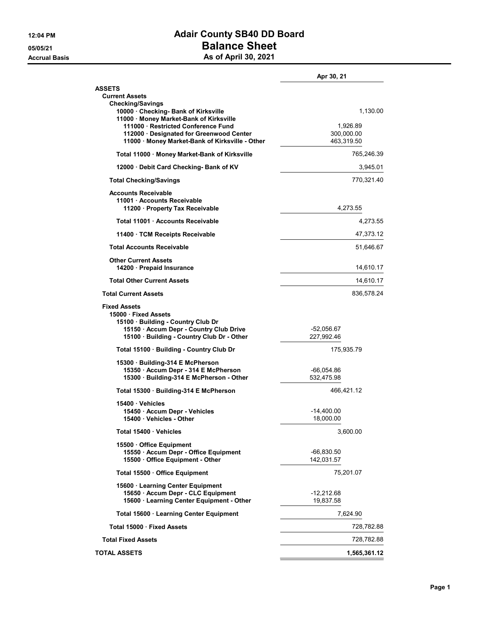## 12:04 PM **Adair County SB40 DD Board** 05/05/21 Balance Sheet Accrual Basis **Accrual Basis** As of April 30, 2021

|                                                                                                                            | Apr 30, 21                 |
|----------------------------------------------------------------------------------------------------------------------------|----------------------------|
| <b>ASSETS</b>                                                                                                              |                            |
| <b>Current Assets</b>                                                                                                      |                            |
| <b>Checking/Savings</b><br>10000 Checking- Bank of Kirksville<br>11000 · Money Market-Bank of Kirksville                   | 1,130.00                   |
| 111000 · Restricted Conference Fund                                                                                        | 1,926.89                   |
| 112000 Designated for Greenwood Center                                                                                     | 300,000.00                 |
| 11000 Money Market-Bank of Kirksville - Other                                                                              | 463,319.50                 |
| Total 11000 · Money Market-Bank of Kirksville                                                                              | 765,246.39                 |
| 12000 Debit Card Checking- Bank of KV                                                                                      | 3,945.01                   |
| <b>Total Checking/Savings</b>                                                                                              | 770,321.40                 |
| <b>Accounts Receivable</b><br>11001 Accounts Receivable<br>11200 · Property Tax Receivable                                 | 4,273.55                   |
| Total 11001 Accounts Receivable                                                                                            | 4,273.55                   |
| 11400 · TCM Receipts Receivable                                                                                            | 47,373.12                  |
| <b>Total Accounts Receivable</b>                                                                                           | 51,646.67                  |
| <b>Other Current Assets</b><br>14200 Prepaid Insurance                                                                     | 14,610.17                  |
| <b>Total Other Current Assets</b>                                                                                          | 14,610.17                  |
| <b>Total Current Assets</b>                                                                                                | 836,578.24                 |
| <b>Fixed Assets</b><br>15000 · Fixed Assets<br>15100 Building - Country Club Dr<br>15150 · Accum Depr - Country Club Drive | -52,056.67                 |
| 15100 · Building - Country Club Dr - Other                                                                                 | 227,992.46                 |
| Total 15100 · Building - Country Club Dr                                                                                   | 175,935.79                 |
| 15300 Building-314 E McPherson                                                                                             |                            |
| 15350 · Accum Depr - 314 E McPherson<br>15300 · Building-314 E McPherson - Other                                           | $-66,054.86$<br>532,475.98 |
|                                                                                                                            |                            |
| Total 15300 · Building-314 E McPherson                                                                                     | 466,421.12                 |
| 15400 Vehicles<br>15450 · Accum Depr - Vehicles                                                                            | -14,400.00                 |
| 15400 Vehicles - Other                                                                                                     | 18,000.00                  |
| Total 15400 Vehicles                                                                                                       | 3,600.00                   |
| 15500 Office Equipment                                                                                                     |                            |
| 15550 · Accum Depr - Office Equipment<br>15500 Office Equipment - Other                                                    | -66,830.50<br>142,031.57   |
| Total 15500 Office Equipment                                                                                               | 75,201.07                  |
| 15600 · Learning Center Equipment                                                                                          |                            |
| 15650 · Accum Depr - CLC Equipment<br>15600 · Learning Center Equipment - Other                                            | -12,212.68<br>19,837.58    |
| Total 15600 · Learning Center Equipment                                                                                    | 7,624.90                   |
| Total 15000 · Fixed Assets                                                                                                 | 728,782.88                 |
| <b>Total Fixed Assets</b>                                                                                                  | 728,782.88                 |
| <b>TOTAL ASSETS</b>                                                                                                        | 1,565,361.12               |